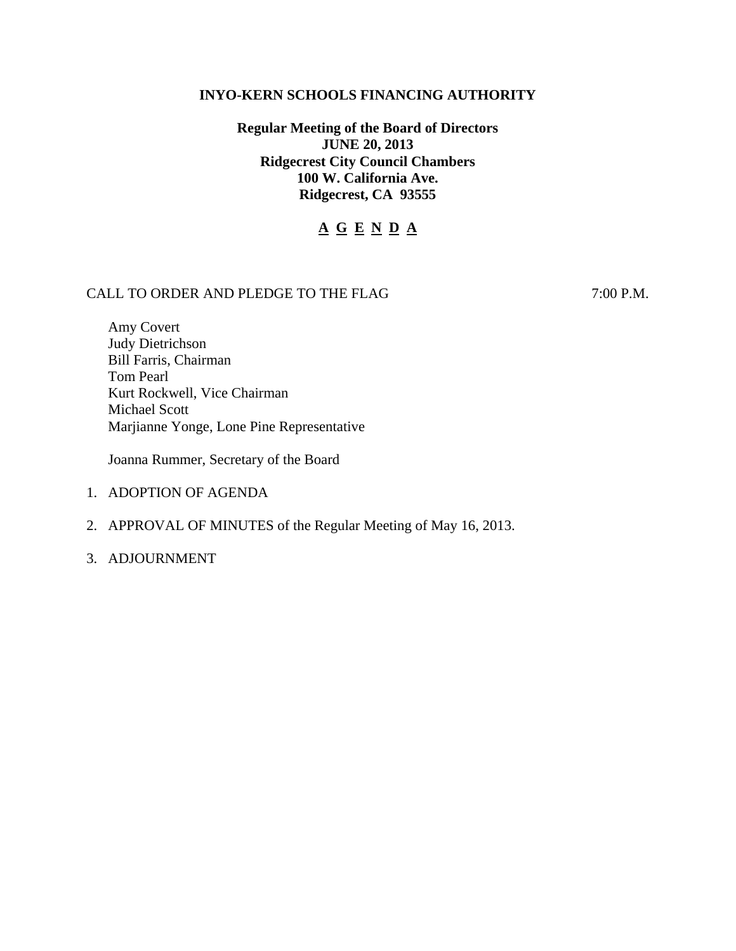### **INYO-KERN SCHOOLS FINANCING AUTHORITY**

# **Regular Meeting of the Board of Directors JUNE 20, 2013 Ridgecrest City Council Chambers 100 W. California Ave. Ridgecrest, CA 93555**

# **A G E N D A**

## CALL TO ORDER AND PLEDGE TO THE FLAG 7:00 P.M.

Amy Covert Judy Dietrichson Bill Farris, Chairman Tom Pearl Kurt Rockwell, Vice Chairman Michael Scott Marjianne Yonge, Lone Pine Representative

Joanna Rummer, Secretary of the Board

- 1. ADOPTION OF AGENDA
- 2. APPROVAL OF MINUTES of the Regular Meeting of May 16, 2013.
- 3. ADJOURNMENT